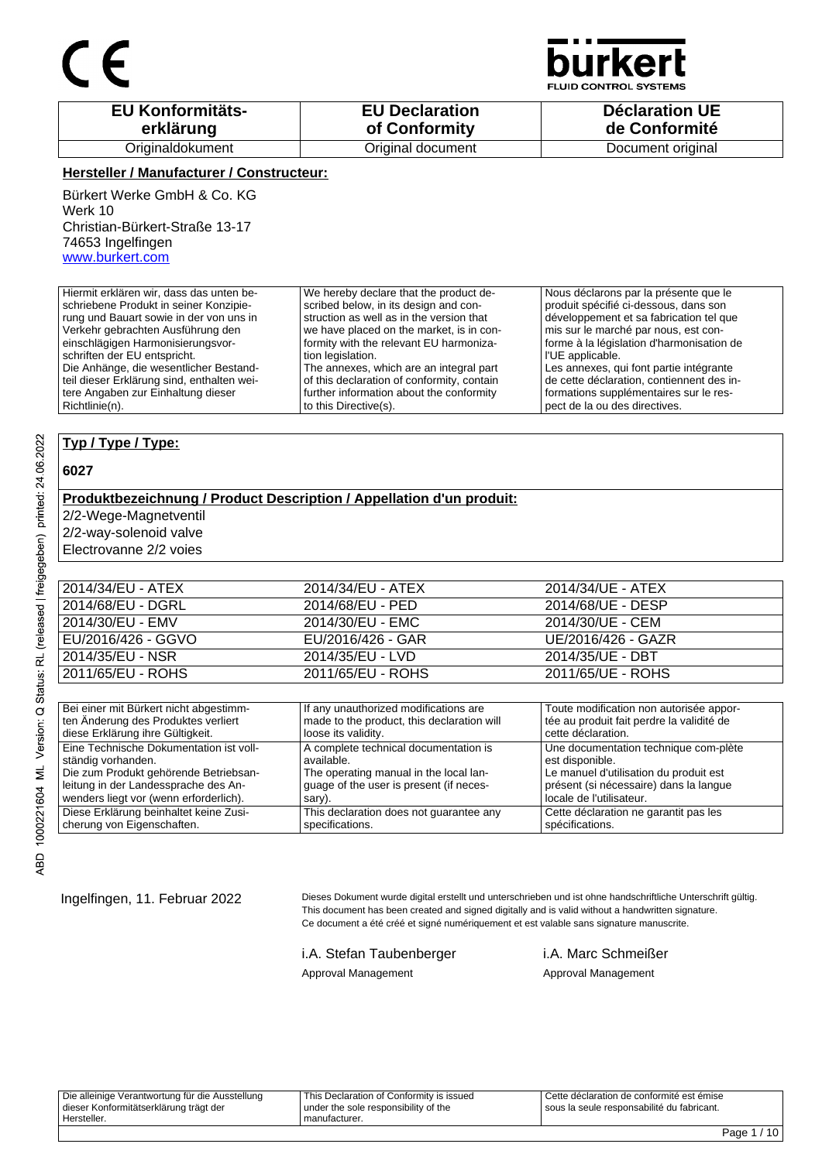

**JID CONTROL SYSTEMS** 

| <b>EU Konformitäts-</b> | <b>EU Declaration</b> | <b>Déclaration UE</b> |
|-------------------------|-----------------------|-----------------------|
| erklärung               | of Conformity         | de Conformité         |
| Originaldokument        | Original document     | Document original     |

### **Hersteller / Manufacturer / Constructeur:**

Bürkert Werke GmbH & Co. KG Werk 10 Christian-Bürkert-Straße 13-17 74653 Ingelfingen www.burkert.com

Hiermit erklären wir, dass das unten beschriebene Produkt in seiner Konzipierung und Bauart sowie in der von uns in Verkehr gebrachten Ausführung den einschlägigen Harmonisierungsvorschriften der EU entspricht. Die Anhänge, die wesentlicher Bestandteil dieser Erklärung sind, enthalten weitere Angaben zur Einhaltung dieser Richtlinie(n). We hereby declare that the product described below, in its design and construction as well as in the version that we have placed on the market, is in conformity with the relevant EU harmonization legislation. The annexes, which are an integral part of this declaration of conformity, contain further information about the conformity to this Directive(s). Nous déclarons par la présente que le produit spécifié ci-dessous, dans son développement et sa fabrication tel que mis sur le marché par nous, est conforme à la législation d'harmonisation de l'UE applicable. Les annexes, qui font partie intégrante de cette déclaration, contiennent des informations supplémentaires sur le respect de la ou des directives.

## **Typ / Type / Type:**

### **6027**

## **Produktbezeichnung / Product Description / Appellation d'un produit:**

2/2-Wege-Magnetventil

2/2-way-solenoid valve

Electrovanne 2/2 voies

| 2011/65/EU - ROHS  | 2011/65/EU - ROHS | 2011/65/UE - ROHS  |
|--------------------|-------------------|--------------------|
| 2014/35/EU - NSR   | 2014/35/EU - LVD  | 2014/35/UE - DBT   |
| EU/2016/426 - GGVO | EU/2016/426 - GAR | UE/2016/426 - GAZR |
| 2014/30/EU - EMV   | 2014/30/EU - EMC  | 2014/30/UE - CEM   |
| 2014/68/EU - DGRL  | 2014/68/EU - PED  | 2014/68/UE - DESP  |
| 2014/34/EU - ATEX  | 2014/34/EU - ATEX | 2014/34/UE - ATEX  |
|                    |                   |                    |

| Bei einer mit Bürkert nicht abgestimm-  | If any unauthorized modifications are      | Toute modification non autorisée appor-   |
|-----------------------------------------|--------------------------------------------|-------------------------------------------|
| ten Änderung des Produktes verliert     | made to the product, this declaration will | tée au produit fait perdre la validité de |
| diese Erklärung ihre Gültigkeit.        | loose its validity.                        | cette déclaration.                        |
| Eine Technische Dokumentation ist voll- | A complete technical documentation is      | Une documentation technique com-plète     |
| ständig vorhanden.                      | available.                                 | est disponible.                           |
| Die zum Produkt gehörende Betriebsan-   | The operating manual in the local lan-     | Le manuel d'utilisation du produit est    |
| leitung in der Landessprache des An-    | quage of the user is present (if neces-    | présent (si nécessaire) dans la langue    |
| wenders liegt vor (wenn erforderlich).  | sary).                                     | locale de l'utilisateur.                  |
| Diese Erklärung beinhaltet keine Zusi-  | This declaration does not quarantee any    | Cette déclaration ne garantit pas les     |
| cherung von Eigenschaften.              | specifications.                            | spécifications.                           |

Ingelfingen, 11. Februar 2022 Dieses Dokument wurde digital erstellt und unterschrieben und ist ohne handschriftliche Unterschrift gültig. This document has been created and signed digitally and is valid without a handwritten signature. Ce document a été créé et signé numériquement et est valable sans signature manuscrite.

## i.A. Stefan Taubenberger i.A. Marc Schmeißer

## Approval Management **Approval Management**

Die alleinige Verantwortung für die Ausstellung dieser Konformitätserklärung trägt der Hersteller. This Declaration of Conformity is issued under the sole responsibility of the manufacturer. Cette déclaration de conformité est émise sous la seule responsabilité du fabricant.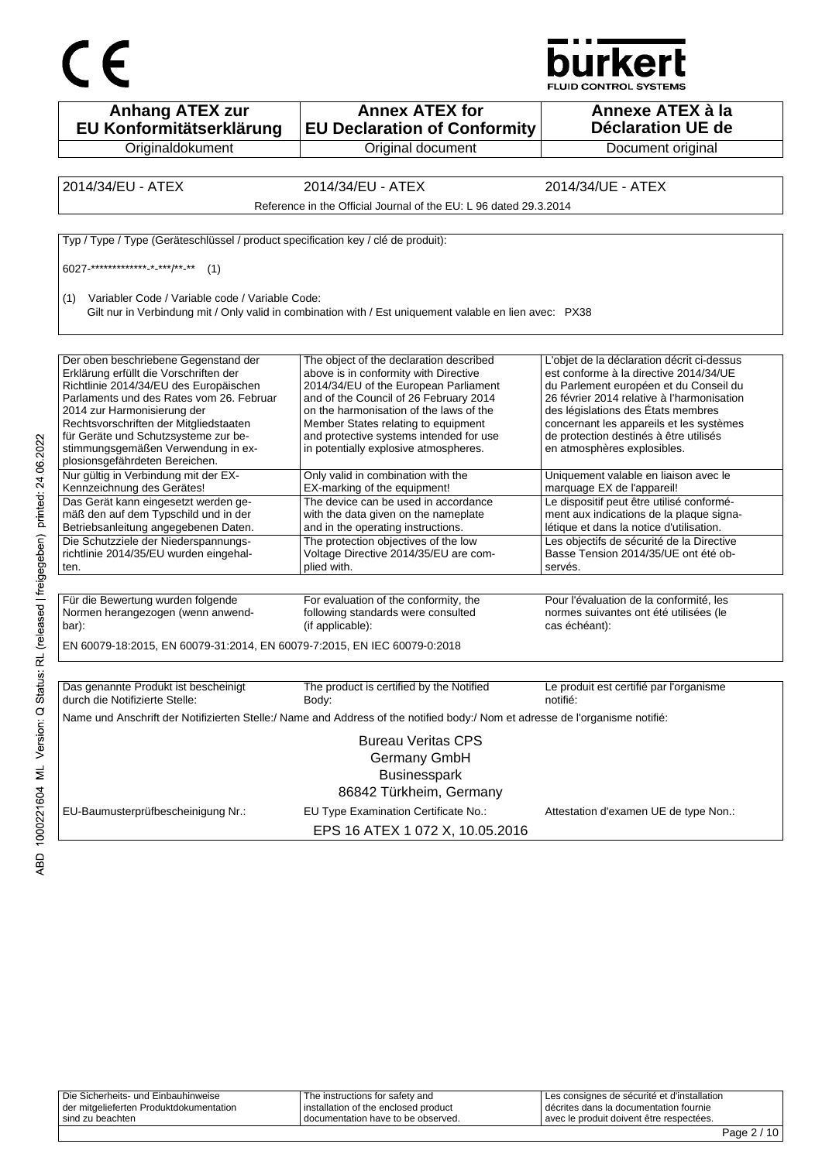



| <b>Anhang ATEX zur</b><br>EU Konformitätserklärung                                | <b>Annex ATEX for</b><br><b>EU Declaration of Conformity</b>                                                                 | Annexe ATEX à la<br><b>Déclaration UE de</b>                                                       |
|-----------------------------------------------------------------------------------|------------------------------------------------------------------------------------------------------------------------------|----------------------------------------------------------------------------------------------------|
| Originaldokument                                                                  | Original document                                                                                                            | Document original                                                                                  |
|                                                                                   |                                                                                                                              |                                                                                                    |
| 2014/34/EU - ATEX                                                                 | 2014/34/EU - ATEX                                                                                                            | 2014/34/UE - ATEX                                                                                  |
|                                                                                   | Reference in the Official Journal of the EU: L 96 dated 29.3.2014                                                            |                                                                                                    |
| Typ / Type / Type (Geräteschlüssel / product specification key / clé de produit): |                                                                                                                              |                                                                                                    |
| 6027-************** * ***/** **<br>(1)                                            |                                                                                                                              |                                                                                                    |
| Variabler Code / Variable code / Variable Code:<br>(1)                            | Gilt nur in Verbindung mit / Only valid in combination with / Est uniquement valable en lien avec: PX38                      |                                                                                                    |
| Der oben beschriebene Gegenstand der                                              | The object of the declaration described                                                                                      | L'objet de la déclaration décrit ci-dessus                                                         |
| Erklärung erfüllt die Vorschriften der<br>Richtlinie 2014/34/EU des Europäischen  | above is in conformity with Directive<br>2014/34/EU of the European Parliament                                               | est conforme à la directive 2014/34/UE<br>du Parlement européen et du Conseil du                   |
| Parlaments und des Rates vom 26. Februar                                          | and of the Council of 26 February 2014                                                                                       | 26 février 2014 relative à l'harmonisation                                                         |
| 2014 zur Harmonisierung der                                                       | on the harmonisation of the laws of the                                                                                      | des législations des États membres                                                                 |
| Rechtsvorschriften der Mitgliedstaaten                                            | Member States relating to equipment                                                                                          | concernant les appareils et les systèmes                                                           |
| für Geräte und Schutzsysteme zur be-<br>stimmungsgemäßen Verwendung in ex-        | and protective systems intended for use<br>in potentially explosive atmospheres.                                             | de protection destinés à être utilisés<br>en atmosphères explosibles.                              |
| plosionsgefährdeten Bereichen.                                                    |                                                                                                                              |                                                                                                    |
| Nur gültig in Verbindung mit der EX-                                              | Only valid in combination with the                                                                                           | Uniquement valable en liaison avec le                                                              |
| Kennzeichnung des Gerätes!<br>Das Gerät kann eingesetzt werden ge-                | EX-marking of the equipment!<br>The device can be used in accordance                                                         | marquage EX de l'appareil!<br>Le dispositif peut être utilisé conformé-                            |
| mäß den auf dem Typschild und in der                                              | with the data given on the nameplate                                                                                         | ment aux indications de la plaque signa-                                                           |
| Betriebsanleitung angegebenen Daten.                                              | and in the operating instructions.                                                                                           | létique et dans la notice d'utilisation.                                                           |
| Die Schutzziele der Niederspannungs-                                              | The protection objectives of the low                                                                                         | Les objectifs de sécurité de la Directive                                                          |
| richtlinie 2014/35/EU wurden eingehal-                                            | Voltage Directive 2014/35/EU are com-                                                                                        | Basse Tension 2014/35/UE ont été ob-                                                               |
| ten.                                                                              | plied with.                                                                                                                  | servés.                                                                                            |
| Für die Bewertung wurden folgende<br>Normen herangezogen (wenn anwend-<br>bar).   | For evaluation of the conformity, the<br>following standards were consulted<br>(if applicable):                              | Pour l'évaluation de la conformité, les<br>normes suivantes ont été utilisées (le<br>cas échéant): |
| EN 60079-18:2015, EN 60079-31:2014, EN 60079-7:2015, EN IEC 60079-0:2018          |                                                                                                                              |                                                                                                    |
|                                                                                   |                                                                                                                              |                                                                                                    |
| Das genannte Produkt ist bescheinigt<br>durch die Notifizierte Stelle:            | The product is certified by the Notified<br>Body:                                                                            | Le produit est certifié par l'organisme<br>notifié:                                                |
|                                                                                   | Name und Anschrift der Notifizierten Stelle:/ Name and Address of the notified body:/ Nom et adresse de l'organisme notifié: |                                                                                                    |
|                                                                                   | <b>Bureau Veritas CPS</b>                                                                                                    |                                                                                                    |
|                                                                                   | Germany GmbH                                                                                                                 |                                                                                                    |
|                                                                                   | <b>Businesspark</b>                                                                                                          |                                                                                                    |
|                                                                                   | 86842 Türkheim, Germany                                                                                                      |                                                                                                    |
|                                                                                   |                                                                                                                              |                                                                                                    |
| EU-Baumusterprüfbescheinigung Nr.:                                                | EU Type Examination Certificate No.:                                                                                         | Attestation d'examen UE de type Non.:                                                              |
|                                                                                   | EPS 16 ATEX 1 072 X, 10.05.2016                                                                                              |                                                                                                    |

|                                         |                                        |                                             | $-1$ |
|-----------------------------------------|----------------------------------------|---------------------------------------------|------|
| sind zu beachten                        | I documentation have to be observed.   | l avec le produit doivent être respectées.  |      |
| der mitgelieferten Produktdokumentation | I installation of the enclosed product | I décrites dans la documentation fournie    |      |
| Die Sicherheits- und Einbauhinweise     | The instructions for safety and        | Les consignes de sécurité et d'installation |      |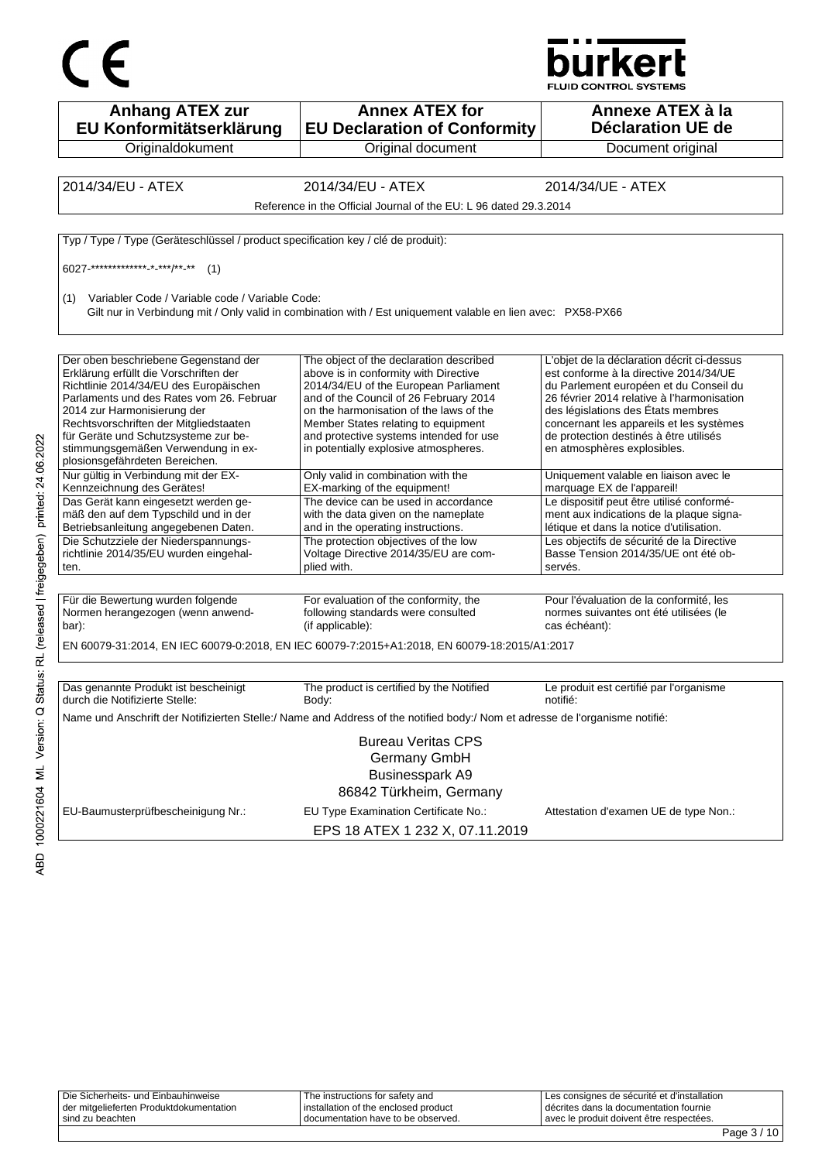



| <b>Anhang ATEX zur</b><br>EU Konformitätserklärung                                | <b>Annex ATEX for</b><br><b>EU Declaration of Conformity</b>                                                                 | Annexe ATEX à la<br><b>Déclaration UE de</b>                                         |
|-----------------------------------------------------------------------------------|------------------------------------------------------------------------------------------------------------------------------|--------------------------------------------------------------------------------------|
| Originaldokument                                                                  | Original document                                                                                                            | Document original                                                                    |
|                                                                                   |                                                                                                                              |                                                                                      |
| 2014/34/EU - ATEX                                                                 | 2014/34/EU - ATEX                                                                                                            | 2014/34/UE - ATEX                                                                    |
|                                                                                   | Reference in the Official Journal of the EU: L 96 dated 29.3.2014                                                            |                                                                                      |
| Typ / Type / Type (Geräteschlüssel / product specification key / clé de produit): |                                                                                                                              |                                                                                      |
| 6027-************** * ***/** **<br>(1)                                            |                                                                                                                              |                                                                                      |
| (1) Variabler Code / Variable code / Variable Code:                               | Gilt nur in Verbindung mit / Only valid in combination with / Est uniquement valable en lien avec: PX58-PX66                 |                                                                                      |
| Der oben beschriebene Gegenstand der                                              | The object of the declaration described                                                                                      | L'objet de la déclaration décrit ci-dessus                                           |
| Erklärung erfüllt die Vorschriften der                                            | above is in conformity with Directive                                                                                        | est conforme à la directive 2014/34/UE                                               |
| Richtlinie 2014/34/EU des Europäischen                                            | 2014/34/EU of the European Parliament                                                                                        | du Parlement européen et du Conseil du                                               |
| Parlaments und des Rates vom 26. Februar<br>2014 zur Harmonisierung der           | and of the Council of 26 February 2014<br>on the harmonisation of the laws of the                                            | 26 février 2014 relative à l'harmonisation<br>des législations des États membres     |
| Rechtsvorschriften der Mitgliedstaaten                                            | Member States relating to equipment                                                                                          | concernant les appareils et les systèmes                                             |
| für Geräte und Schutzsysteme zur be-                                              | and protective systems intended for use                                                                                      | de protection destinés à être utilisés                                               |
| stimmungsgemäßen Verwendung in ex-<br>plosionsgefährdeten Bereichen.              | in potentially explosive atmospheres.                                                                                        | en atmosphères explosibles.                                                          |
| Nur gültig in Verbindung mit der EX-<br>Kennzeichnung des Gerätes!                | Only valid in combination with the<br>EX-marking of the equipment!                                                           | Uniquement valable en liaison avec le<br>marquage EX de l'appareil!                  |
| Das Gerät kann eingesetzt werden ge-                                              | The device can be used in accordance                                                                                         | Le dispositif peut être utilisé conformé-                                            |
| mäß den auf dem Typschild und in der<br>Betriebsanleitung angegebenen Daten.      | with the data given on the nameplate<br>and in the operating instructions.                                                   | ment aux indications de la plaque signa-<br>létique et dans la notice d'utilisation. |
| Die Schutzziele der Niederspannungs-                                              | The protection objectives of the low                                                                                         | Les objectifs de sécurité de la Directive                                            |
| richtlinie 2014/35/EU wurden eingehal-                                            | Voltage Directive 2014/35/EU are com-                                                                                        | Basse Tension 2014/35/UE ont été ob-                                                 |
| ten.                                                                              | plied with.                                                                                                                  | servés.                                                                              |
|                                                                                   |                                                                                                                              |                                                                                      |
| Für die Bewertung wurden folgende<br>Normen herangezogen (wenn anwend-            | For evaluation of the conformity, the<br>following standards were consulted                                                  | Pour l'évaluation de la conformité, les<br>normes suivantes ont été utilisées (le    |
| bar).                                                                             | (if applicable):                                                                                                             | cas échéant):                                                                        |
|                                                                                   | EN 60079-31:2014, EN IEC 60079-0:2018, EN IEC 60079-7:2015+A1:2018, EN 60079-18:2015/A1:2017                                 |                                                                                      |
|                                                                                   |                                                                                                                              |                                                                                      |
| Das genannte Produkt ist bescheinigt<br>durch die Notifizierte Stelle:            | The product is certified by the Notified<br>Body:                                                                            | Le produit est certifié par l'organisme<br>notifié:                                  |
|                                                                                   | Name und Anschrift der Notifizierten Stelle:/ Name and Address of the notified body:/ Nom et adresse de l'organisme notifié: |                                                                                      |
|                                                                                   | <b>Bureau Veritas CPS</b>                                                                                                    |                                                                                      |
|                                                                                   | Germany GmbH                                                                                                                 |                                                                                      |
|                                                                                   | <b>Businesspark A9</b>                                                                                                       |                                                                                      |
|                                                                                   | 86842 Türkheim, Germany                                                                                                      |                                                                                      |
|                                                                                   |                                                                                                                              |                                                                                      |
| EU-Baumusterprüfbescheinigung Nr.:                                                | EU Type Examination Certificate No.:                                                                                         | Attestation d'examen UE de type Non.:                                                |
|                                                                                   | EPS 18 ATEX 1 232 X, 07.11.2019                                                                                              |                                                                                      |

Die Sicherheits- und Einbauhinweise der mitgelieferten Produktdokumentation sind zu beachten The instructions for safety and installation of the enclosed product documentation have to be observed. Les consignes de sécurité et d'installation décrites dans la documentation fournie avec le produit doivent être respectées.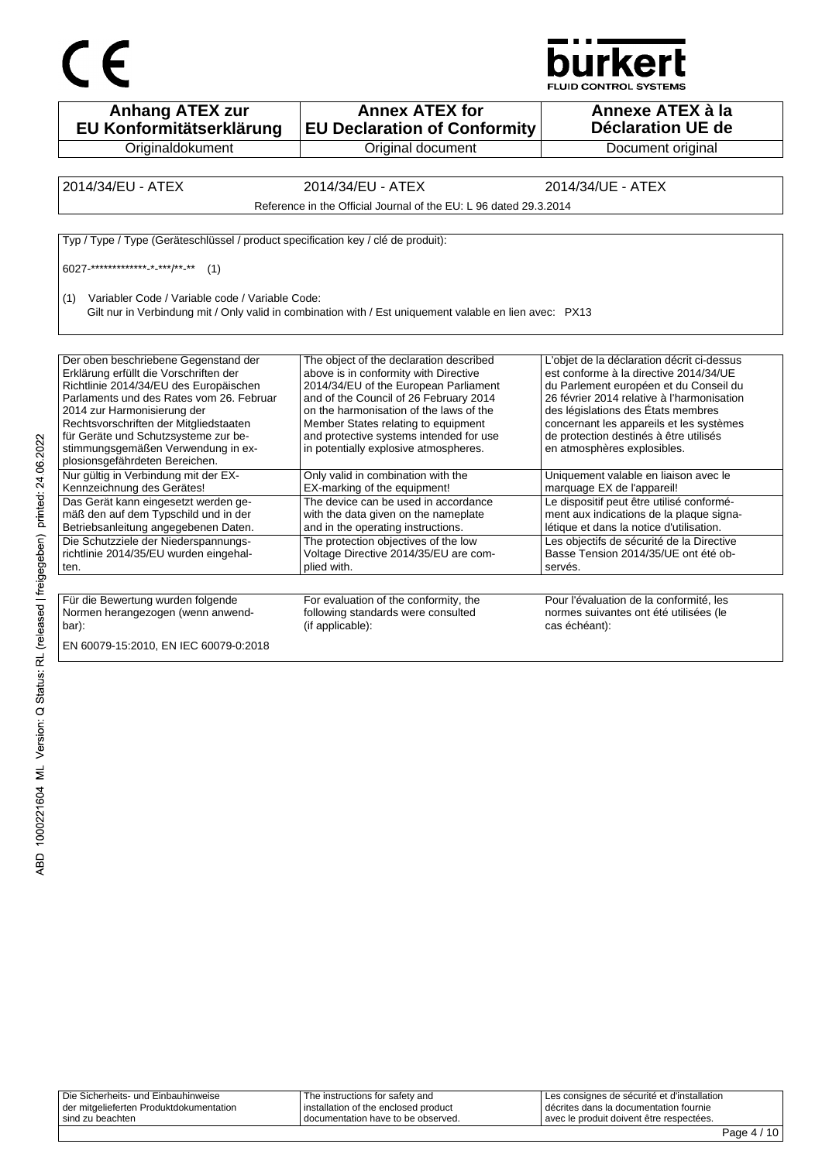



**Anhang ATEX zur EU Konformitätserklärung Originaldokument Annex ATEX for EU Declaration of Conformity** Original document **Annexe ATEX à la Déclaration UE de**  Document original 2014/34/EU - ATEX 2014/34/EU - ATEX 2014/34/UE - ATEX Reference in the Official Journal of the EU: L 96 dated 29.3.2014 Typ / Type / Type (Geräteschlüssel / product specification key / clé de produit): 6027-\*\*\*\*\*\*\*\*\*\*\*\*\*-\*-\*\*\*/\*\*-\*\* (1) (1) Variabler Code / Variable code / Variable Code: Gilt nur in Verbindung mit / Only valid in combination with / Est uniquement valable en lien avec: PX13 Der oben beschriebene Gegenstand der Erklärung erfüllt die Vorschriften der Richtlinie 2014/34/EU des Europäischen Parlaments und des Rates vom 26. Februar 2014 zur Harmonisierung der Rechtsvorschriften der Mitgliedstaaten für Geräte und Schutzsysteme zur bestimmungsgemäßen Verwendung in explosionsgefährdeten Bereichen. The object of the declaration described above is in conformity with Directive 2014/34/EU of the European Parliament and of the Council of 26 February 2014 on the harmonisation of the laws of the Member States relating to equipment and protective systems intended for use in potentially explosive atmospheres. L'objet de la déclaration décrit ci-dessus est conforme à la directive 2014/34/UE du Parlement européen et du Conseil du 26 février 2014 relative à l'harmonisation des législations des États membres concernant les appareils et les systèmes de protection destinés à être utilisés en atmosphères explosibles. Nur gültig in Verbindung mit der EX-Kennzeichnung des Gerätes! Only valid in combination with the EX-marking of the equipment! Uniquement valable en liaison avec le marquage EX de l'appareil! Das Gerät kann eingesetzt werden gemäß den auf dem Typschild und in der Betriebsanleitung angegebenen Daten. The device can be used in accordance with the data given on the nameplate and in the operating instructions. Le dispositif peut être utilisé conformément aux indications de la plaque signalétique et dans la notice d'utilisation. Die Schutzziele der Niederspannungsrichtlinie 2014/35/EU wurden eingehalten. The protection objectives of the low Voltage Directive 2014/35/EU are complied with. Les objectifs de sécurité de la Directive Basse Tension 2014/35/UE ont été observés. Für die Bewertung wurden folgende Normen herangezogen (wenn anwendbar): For evaluation of the conformity, the following standards were consulted (if applicable): Pour l'évaluation de la conformité, les normes suivantes ont été utilisées (le cas échéant): EN 60079-15:2010, EN IEC 60079-0:2018

| Die Sicherheits- und Einbauhinweise     | The instructions for safety and      | Les consignes de sécurité et d'installation |
|-----------------------------------------|--------------------------------------|---------------------------------------------|
| der mitgelieferten Produktdokumentation | installation of the enclosed product | décrites dans la documentation fournie      |
| sind zu beachten                        | I documentation have to be observed. | avec le produit doivent être respectées.    |
|                                         |                                      | $\cdot$ $\cdot$ $\sim$<br>-                 |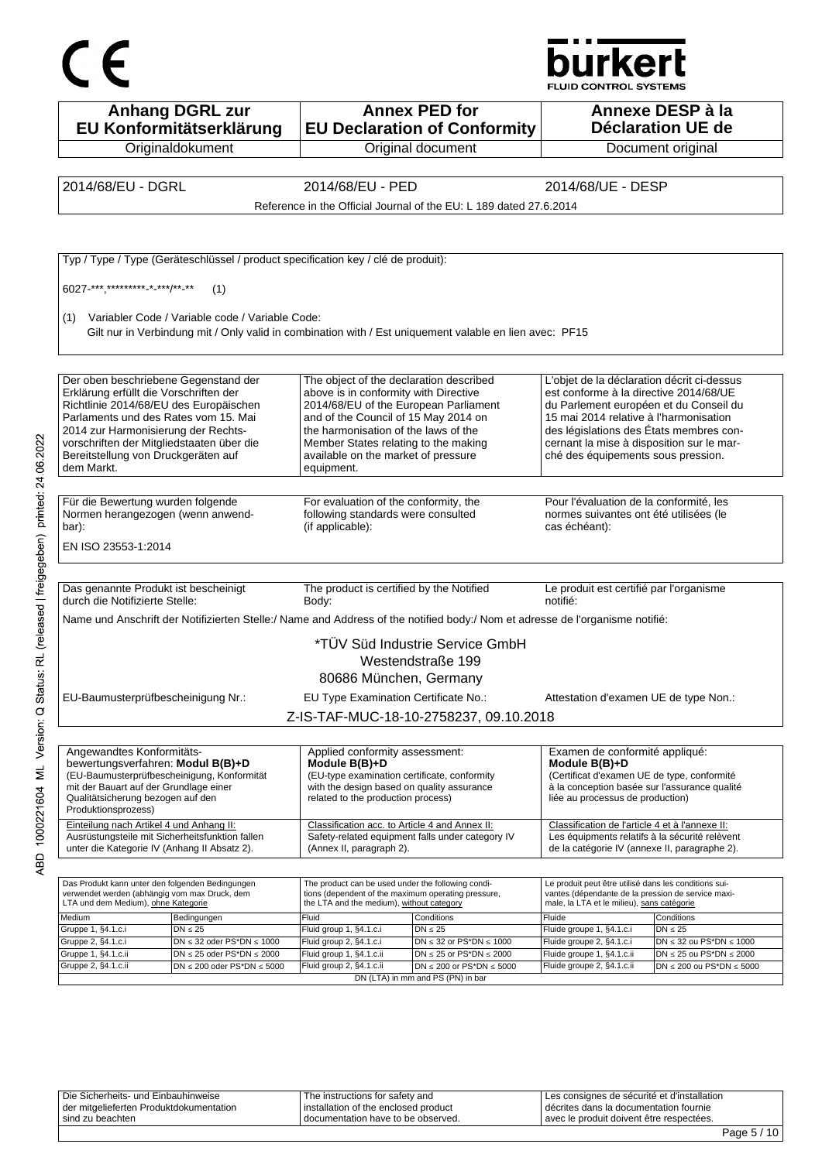

**Anhang DGRL zur EU Konformitätserklärung Originaldokument Annex PED for EU Declaration of Conformity** Original document **Annexe DESP à la Déclaration UE de**  Document original 2014/68/EU - DGRL 2014/68/EU - PED 2014/68/UE - DESP Reference in the Official Journal of the EU: L 189 dated 27.6.2014 Typ / Type / Type (Geräteschlüssel / product specification key / clé de produit): 6027-\*\*\*,\*\*\*\*\*\*\*\*\*-\*-\*\*\*/\*\*-\*\* (1) (1) Variabler Code / Variable code / Variable Code: Gilt nur in Verbindung mit / Only valid in combination with / Est uniquement valable en lien avec: PF15 Der oben beschriebene Gegenstand der Erklärung erfüllt die Vorschriften der Richtlinie 2014/68/EU des Europäischen Parlaments und des Rates vom 15. Mai 2014 zur Harmonisierung der Rechtsvorschriften der Mitgliedstaaten über die Bereitstellung von Druckgeräten auf dem Markt. The object of the declaration described above is in conformity with Directive 2014/68/EU of the European Parliament and of the Council of 15 May 2014 on the harmonisation of the laws of the Member States relating to the making available on the market of pressure equipment. L'objet de la déclaration décrit ci-dessus est conforme à la directive 2014/68/UE du Parlement européen et du Conseil du 15 mai 2014 relative à l'harmonisation des législations des États membres concernant la mise à disposition sur le marché des équipements sous pression. Für die Bewertung wurden folgende Normen herangezogen (wenn anwendbar): For evaluation of the conformity, the following standards were consulted (if applicable): Pour l'évaluation de la conformité, les normes suivantes ont été utilisées (le cas échéant): EN ISO 23553-1:2014 Das genannte Produkt ist bescheinigt durch die Notifizierte Stelle: The product is certified by the Notified Body: Le produit est certifié par l'organisme notifié: Name und Anschrift der Notifizierten Stelle:/ Name and Address of the notified body:/ Nom et adresse de l'organisme notifié: \*TÜV Süd Industrie Service GmbH Westendstraße 199 80686 München, Germany EU-Baumusterprüfbescheinigung Nr.: EU Type Examination Certificate No.: Attestation d'examen UE de type Non.: Z-IS-TAF-MUC-18-10-2758237, 09.10.2018 Angewandtes Konformitätsbewertungsverfahren: **Modul B(B)+D** (EU-Baumusterprüfbescheinigung, Konformität mit der Bauart auf der Grundlage einer Qualitätsicherung bezogen auf den Produktionsprozess) Applied conformity assessment: **Module B(B)+D** (EU-type examination certificate, conformity with the design based on quality assurance related to the production process) Examen de conformité appliqué: **Module B(B)+D** (Certificat d'examen UE de type, conformité à la conception basée sur l'assurance qualité liée au processus de production) Einteilung nach Artikel 4 und Anhang II: Ausrüstungsteile mit Sicherheitsfunktion fallen unter die Kategorie IV (Anhang II Absatz 2). Classification acc. to Article 4 and Annex II: Safety-related equipment falls under category IV (Annex II, paragraph 2). Classification de l'article 4 et à l'annexe II: Les équipments relatifs à la sécurité relèvent de la catégorie IV (annexe II, paragraphe 2). Das Produkt kann unter den folgenden Bedingungen verwendet werden (abhängig vom max Druck, dem LTA und dem Medium), ohne Kategorie The product can be used under the following conditions (dependent of the maximum operating pressure, the LTA and the medium), without category Le produit peut être utilisé dans les conditions suivantes (dépendante de la pression de service maximale, la LTA et le milieu), sans catégorie Medium Bedingungen Fluid Conditions Fluide Conditions Gruppe 1, §4.1.c.i DN ≤ 25 Fluid group 1, §4.1.c.i DN ≤ 25 Fluide groupe 1, §4.1.c.i DN ≤ 25 Gruppe 2, §4.1.c.i DN ≤ 32 oder PS\*DN ≤ 1000 Fluid group 2, §4.1.c.i DN ≤ 32 or PS\*DN ≤ 1000 Fluide groupe 2, §4.1.c.i DN ≤ 32 ou PS\*DN ≤ 1000<br>Gruppe 1, §4.1.c.ii DN ≤ 25 oder PS\*DN ≤ 2000 Fluid group 1, §4.1.c.ii DN ≤ 25 Gruppe 1, §4.1.c.ii DN ≤ 25 oder PS\*DN ≤ 2000 Fluid group 1, §4.1.c.ii DN ≤ 25 or PS\*DN ≤ 2000 Fluide groupe 1, §4.1.c.ii DN ≤ 25 ou PS\*DN ≤ 2000<br>Gruppe 2, §4.1.c.ii DN ≤ 200 oder PS\*DN ≤ 5000 Fluid group 2, §4.1.c.ii DN Gruppe 2, §4.1.c.ii DN ≤ 200 oder PS\*DN ≤ 5000 Fluid group 2, §4.1.c.ii DN ≤ 200 or PS\*DN ≤ 5000 Fluide groupe 2, §4.1.c.ii DN ≤ 200 ou PS\*DN ≤ 5000 DN (LTA) in mm and PS (PN) in bar

Die Sicherheits- und Einbauhinweise der mitgelieferten Produktdokumentation sind zu beachten The instructions for safety and installation of the enclosed product documentation have to be observed. Les consignes de sécurité et d'installation décrites dans la documentation fournie avec le produit doivent être respectées.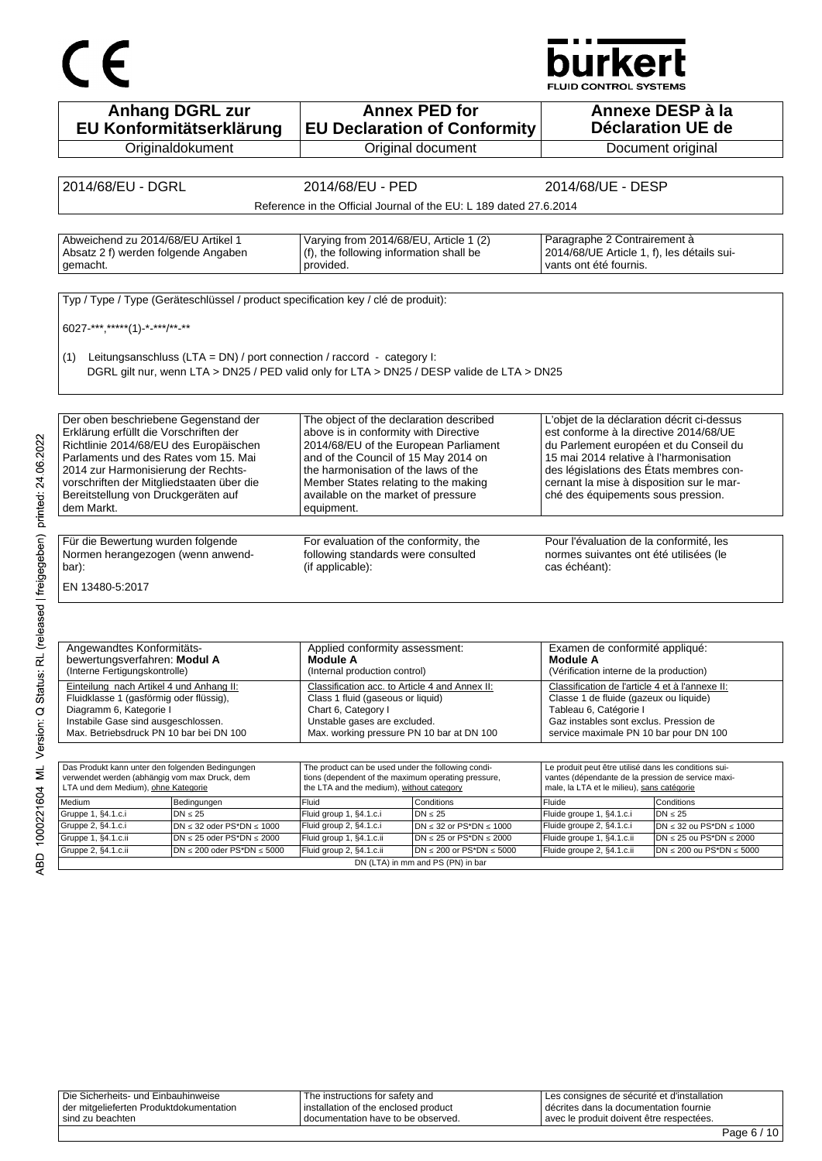# CE

## **burkert**

FLUID CONTROL SYSTEMS

| <b>Anhang DGRL zur</b><br>EU Konformitätserklärung                                                                    |                                                                                  | <b>Annex PED for</b><br><b>EU Declaration of Conformity</b>           |                                                                                      | Annexe DESP à la<br>Déclaration UE de                                 |  |
|-----------------------------------------------------------------------------------------------------------------------|----------------------------------------------------------------------------------|-----------------------------------------------------------------------|--------------------------------------------------------------------------------------|-----------------------------------------------------------------------|--|
| Originaldokument                                                                                                      |                                                                                  | Original document                                                     |                                                                                      | Document original                                                     |  |
|                                                                                                                       |                                                                                  |                                                                       |                                                                                      |                                                                       |  |
| 2014/68/EU - DGRL                                                                                                     | 2014/68/EU - PED                                                                 |                                                                       | 2014/68/UE - DESP                                                                    |                                                                       |  |
|                                                                                                                       |                                                                                  | Reference in the Official Journal of the EU: L 189 dated 27.6.2014    |                                                                                      |                                                                       |  |
|                                                                                                                       |                                                                                  |                                                                       |                                                                                      |                                                                       |  |
| Abweichend zu 2014/68/EU Artikel 1                                                                                    | Varying from 2014/68/EU, Article 1 (2)                                           |                                                                       |                                                                                      | Paragraphe 2 Contrairement à                                          |  |
| Absatz 2 f) werden folgende Angaben                                                                                   | (f), the following information shall be                                          |                                                                       | 2014/68/UE Article 1, f), les détails sui-                                           |                                                                       |  |
| gemacht.                                                                                                              | provided.                                                                        |                                                                       | vants ont été fournis.                                                               |                                                                       |  |
|                                                                                                                       |                                                                                  |                                                                       |                                                                                      |                                                                       |  |
| Typ / Type / Type (Geräteschlüssel / product specification key / clé de produit):                                     |                                                                                  |                                                                       |                                                                                      |                                                                       |  |
| 6027-***,*****(1)-*-***/**-**                                                                                         |                                                                                  |                                                                       |                                                                                      |                                                                       |  |
|                                                                                                                       |                                                                                  |                                                                       |                                                                                      |                                                                       |  |
| (1) Leitungsanschluss (LTA = DN) / port connection / raccord - category I:                                            |                                                                                  |                                                                       |                                                                                      |                                                                       |  |
| DGRL gilt nur, wenn LTA > DN25 / PED valid only for LTA > DN25 / DESP valide de LTA > DN25                            |                                                                                  |                                                                       |                                                                                      |                                                                       |  |
|                                                                                                                       |                                                                                  |                                                                       |                                                                                      |                                                                       |  |
|                                                                                                                       |                                                                                  |                                                                       |                                                                                      |                                                                       |  |
| Der oben beschriebene Gegenstand der<br>Erklärung erfüllt die Vorschriften der                                        | The object of the declaration described<br>above is in conformity with Directive |                                                                       | L'objet de la déclaration décrit ci-dessus<br>est conforme à la directive 2014/68/UE |                                                                       |  |
| Richtlinie 2014/68/EU des Europäischen                                                                                | 2014/68/EU of the European Parliament                                            |                                                                       | du Parlement européen et du Conseil du                                               |                                                                       |  |
| Parlaments und des Rates vom 15. Mai                                                                                  | and of the Council of 15 May 2014 on<br>the harmonisation of the laws of the     |                                                                       | 15 mai 2014 relative à l'harmonisation                                               |                                                                       |  |
| 2014 zur Harmonisierung der Rechts-<br>vorschriften der Mitgliedstaaten über die                                      | Member States relating to the making                                             |                                                                       | des législations des États membres con-<br>cernant la mise à disposition sur le mar- |                                                                       |  |
| Bereitstellung von Druckgeräten auf                                                                                   | available on the market of pressure                                              |                                                                       | ché des équipements sous pression.                                                   |                                                                       |  |
| dem Markt.                                                                                                            | equipment.                                                                       |                                                                       |                                                                                      |                                                                       |  |
|                                                                                                                       |                                                                                  |                                                                       |                                                                                      |                                                                       |  |
| Für die Bewertung wurden folgende<br>Normen herangezogen (wenn anwend-                                                | For evaluation of the conformity, the<br>following standards were consulted      |                                                                       | Pour l'évaluation de la conformité, les<br>normes suivantes ont été utilisées (le    |                                                                       |  |
| bar):                                                                                                                 | (if applicable):                                                                 |                                                                       | cas échéant):                                                                        |                                                                       |  |
| EN 13480-5:2017                                                                                                       |                                                                                  |                                                                       |                                                                                      |                                                                       |  |
|                                                                                                                       |                                                                                  |                                                                       |                                                                                      |                                                                       |  |
|                                                                                                                       |                                                                                  |                                                                       |                                                                                      |                                                                       |  |
|                                                                                                                       |                                                                                  |                                                                       |                                                                                      |                                                                       |  |
| Angewandtes Konformitäts-<br>bewertungsverfahren: Modul A                                                             | Applied conformity assessment:<br>Module A                                       |                                                                       | Examen de conformité appliqué:<br>Module A                                           |                                                                       |  |
| (Interne Fertigungskontrolle)                                                                                         | (Internal production control)                                                    |                                                                       | (Vérification interne de la production)                                              |                                                                       |  |
| Einteilung nach Artikel 4 und Anhang II:<br>Fluidklasse 1 (gasförmig oder flüssig),                                   | Classification acc. to Article 4 and Annex II:                                   |                                                                       | Classification de l'article 4 et à l'annexe II:                                      |                                                                       |  |
| Diagramm 6, Kategorie i                                                                                               | Class 1 fluid (gaseous or liquid)<br>Chart 6, Category I                         |                                                                       | Classe 1 de fluide (gazeux ou liquide)<br>Tableau 6, Catégorie I                     |                                                                       |  |
| Instabile Gase sind ausgeschlossen.                                                                                   | Unstable gases are excluded.                                                     |                                                                       | Gaz instables sont exclus. Pression de                                               |                                                                       |  |
| Max. Betriebsdruck PN 10 bar bei DN 100                                                                               | Max. working pressure PN 10 bar at DN 100                                        |                                                                       | service maximale PN 10 bar pour DN 100                                               |                                                                       |  |
|                                                                                                                       | The product can be used under the following condi-                               |                                                                       | Le produit peut être utilisé dans les conditions sui-                                |                                                                       |  |
| Das Produkt kann unter den folgenden Bedingungen<br>verwendet werden (abhängig vom max Druck, dem                     | tions (dependent of the maximum operating pressure,                              |                                                                       | vantes (dépendante de la pression de service maxi-                                   |                                                                       |  |
| LTA und dem Medium), ohne Kategorie<br>Medium                                                                         | the LTA and the medium), without category                                        |                                                                       | male, la LTA et le milieu), sans catégorie                                           |                                                                       |  |
| Bedingungen<br>Gruppe 1, §4.1.c.i<br>$DN \leq 25$                                                                     | Fluid<br>Fluid group 1, §4.1.c.i                                                 | Conditions<br>$DN \leq 25$                                            | Fluide<br>Fluide groupe 1, §4.1.c.i                                                  | Conditions<br>$DN \leq 25$                                            |  |
| Gruppe 2, §4.1.c.i<br>$DN \leq 32$ oder PS*DN $\leq 1000$                                                             | Fluid group 2, §4.1.c.i                                                          | DN $\leq$ 32 or PS*DN $\leq$ 1000                                     | Fluide groupe 2, §4.1.c.i                                                            | $DN \leq 32$ ou PS*DN $\leq 1000$                                     |  |
| Gruppe 1, §4.1.c.ii<br>$DN \le 25$ oder PS*DN $\le 2000$<br>Gruppe 2, §4.1.c.ii<br>$DN \le 200$ oder PS*DN $\le 5000$ | Fluid group 1, §4.1.c.ii<br>Fluid group 2, §4.1.c.ii                             | DN $\leq$ 25 or PS*DN $\leq$ 2000<br>$DN \le 200$ or PS*DN $\le 5000$ | Fluide groupe 1, §4.1.c.ii<br>Fluide groupe 2, §4.1.c.ii                             | $DN \le 25$ ou PS*DN $\le 2000$<br>DN $\leq$ 200 ou PS*DN $\leq$ 5000 |  |
|                                                                                                                       |                                                                                  | DN (LTA) in mm and PS (PN) in bar                                     |                                                                                      |                                                                       |  |
|                                                                                                                       |                                                                                  |                                                                       |                                                                                      |                                                                       |  |
|                                                                                                                       |                                                                                  |                                                                       |                                                                                      |                                                                       |  |
|                                                                                                                       |                                                                                  |                                                                       |                                                                                      |                                                                       |  |
|                                                                                                                       |                                                                                  |                                                                       |                                                                                      |                                                                       |  |
|                                                                                                                       |                                                                                  |                                                                       |                                                                                      |                                                                       |  |
|                                                                                                                       |                                                                                  |                                                                       |                                                                                      |                                                                       |  |
|                                                                                                                       |                                                                                  |                                                                       |                                                                                      |                                                                       |  |
|                                                                                                                       |                                                                                  |                                                                       |                                                                                      |                                                                       |  |
|                                                                                                                       |                                                                                  |                                                                       |                                                                                      |                                                                       |  |
|                                                                                                                       |                                                                                  |                                                                       |                                                                                      |                                                                       |  |
|                                                                                                                       |                                                                                  |                                                                       |                                                                                      |                                                                       |  |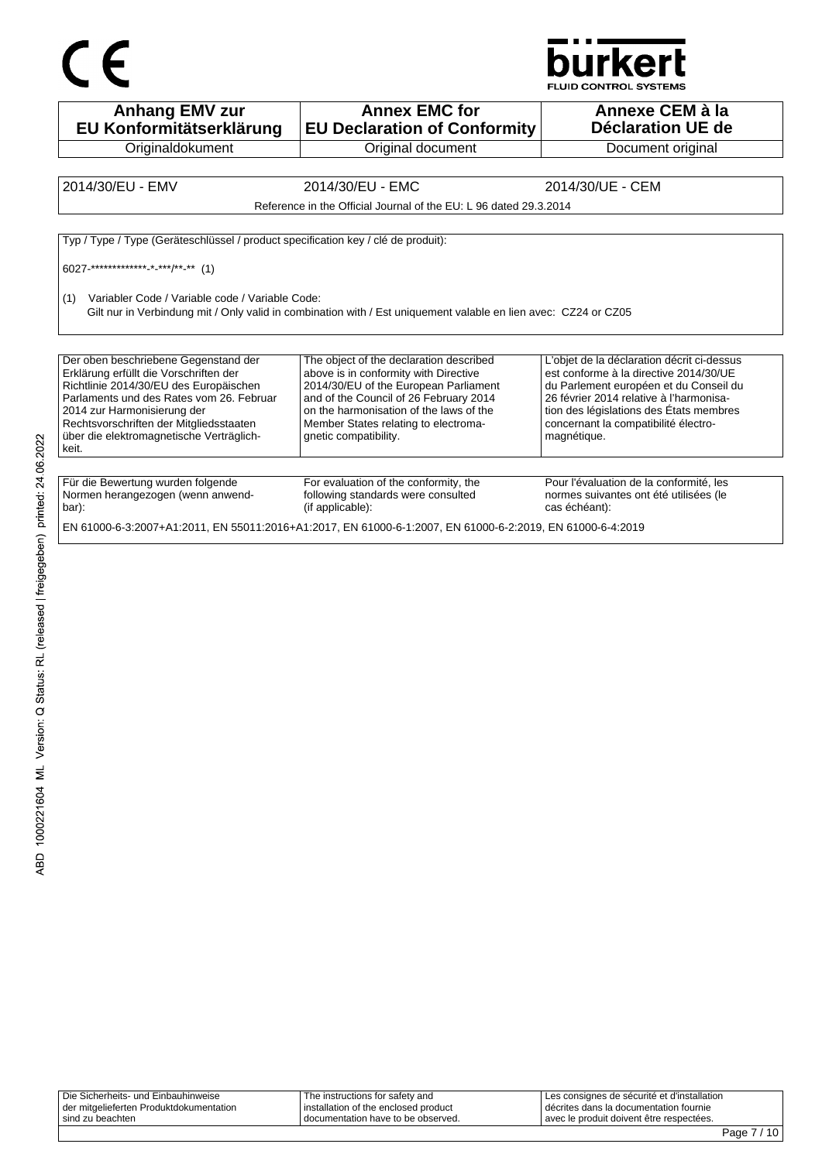



**FLUID CONTROL SYSTEMS** 

| <b>Anhang EMV zur</b><br>EU Konformitätserklärung                                                                                                                                                                                                                                                                                                                                                                                                                                                                                                                                                                                                                                                                                                                                                                                                                     | <b>Annex EMC for</b><br><b>EU Declaration of Conformity</b>                                                     | Annexe CEM à la<br>Déclaration UE de                                                               |  |
|-----------------------------------------------------------------------------------------------------------------------------------------------------------------------------------------------------------------------------------------------------------------------------------------------------------------------------------------------------------------------------------------------------------------------------------------------------------------------------------------------------------------------------------------------------------------------------------------------------------------------------------------------------------------------------------------------------------------------------------------------------------------------------------------------------------------------------------------------------------------------|-----------------------------------------------------------------------------------------------------------------|----------------------------------------------------------------------------------------------------|--|
| Originaldokument                                                                                                                                                                                                                                                                                                                                                                                                                                                                                                                                                                                                                                                                                                                                                                                                                                                      | Original document                                                                                               | Document original                                                                                  |  |
|                                                                                                                                                                                                                                                                                                                                                                                                                                                                                                                                                                                                                                                                                                                                                                                                                                                                       |                                                                                                                 |                                                                                                    |  |
| 2014/30/EU - EMV                                                                                                                                                                                                                                                                                                                                                                                                                                                                                                                                                                                                                                                                                                                                                                                                                                                      | 2014/30/EU - EMC                                                                                                | 2014/30/UE - CEM                                                                                   |  |
|                                                                                                                                                                                                                                                                                                                                                                                                                                                                                                                                                                                                                                                                                                                                                                                                                                                                       | Reference in the Official Journal of the EU: L 96 dated 29.3.2014                                               |                                                                                                    |  |
|                                                                                                                                                                                                                                                                                                                                                                                                                                                                                                                                                                                                                                                                                                                                                                                                                                                                       |                                                                                                                 |                                                                                                    |  |
| Typ / Type / Type (Geräteschlüssel / product specification key / clé de produit):                                                                                                                                                                                                                                                                                                                                                                                                                                                                                                                                                                                                                                                                                                                                                                                     |                                                                                                                 |                                                                                                    |  |
|                                                                                                                                                                                                                                                                                                                                                                                                                                                                                                                                                                                                                                                                                                                                                                                                                                                                       |                                                                                                                 |                                                                                                    |  |
| Variabler Code / Variable code / Variable Code:<br>(1)                                                                                                                                                                                                                                                                                                                                                                                                                                                                                                                                                                                                                                                                                                                                                                                                                | Gilt nur in Verbindung mit / Only valid in combination with / Est uniquement valable en lien avec: CZ24 or CZ05 |                                                                                                    |  |
| Der oben beschriebene Gegenstand der<br>The object of the declaration described<br>L'objet de la déclaration décrit ci-dessus<br>Erklärung erfüllt die Vorschriften der<br>above is in conformity with Directive<br>est conforme à la directive 2014/30/UE<br>2014/30/EU of the European Parliament<br>Richtlinie 2014/30/EU des Europäischen<br>du Parlement européen et du Conseil du<br>and of the Council of 26 February 2014<br>26 février 2014 relative à l'harmonisa-<br>Parlaments und des Rates vom 26. Februar<br>on the harmonisation of the laws of the<br>tion des législations des États membres<br>2014 zur Harmonisierung der<br>Rechtsvorschriften der Mitgliedsstaaten<br>Member States relating to electroma-<br>concernant la compatibilité électro-<br>über die elektromagnetische Verträglich-<br>qnetic compatibility.<br>magnétique.<br>keit. |                                                                                                                 |                                                                                                    |  |
|                                                                                                                                                                                                                                                                                                                                                                                                                                                                                                                                                                                                                                                                                                                                                                                                                                                                       |                                                                                                                 |                                                                                                    |  |
| Für die Bewertung wurden folgende<br>Normen herangezogen (wenn anwend-<br>bar):                                                                                                                                                                                                                                                                                                                                                                                                                                                                                                                                                                                                                                                                                                                                                                                       | For evaluation of the conformity, the<br>following standards were consulted<br>(if applicable):                 | Pour l'évaluation de la conformité, les<br>normes suivantes ont été utilisées (le<br>cas échéant): |  |
| EN 61000-6-3:2007+A1:2011, EN 55011:2016+A1:2017, EN 61000-6-1:2007, EN 61000-6-2:2019, EN 61000-6-4:2019                                                                                                                                                                                                                                                                                                                                                                                                                                                                                                                                                                                                                                                                                                                                                             |                                                                                                                 |                                                                                                    |  |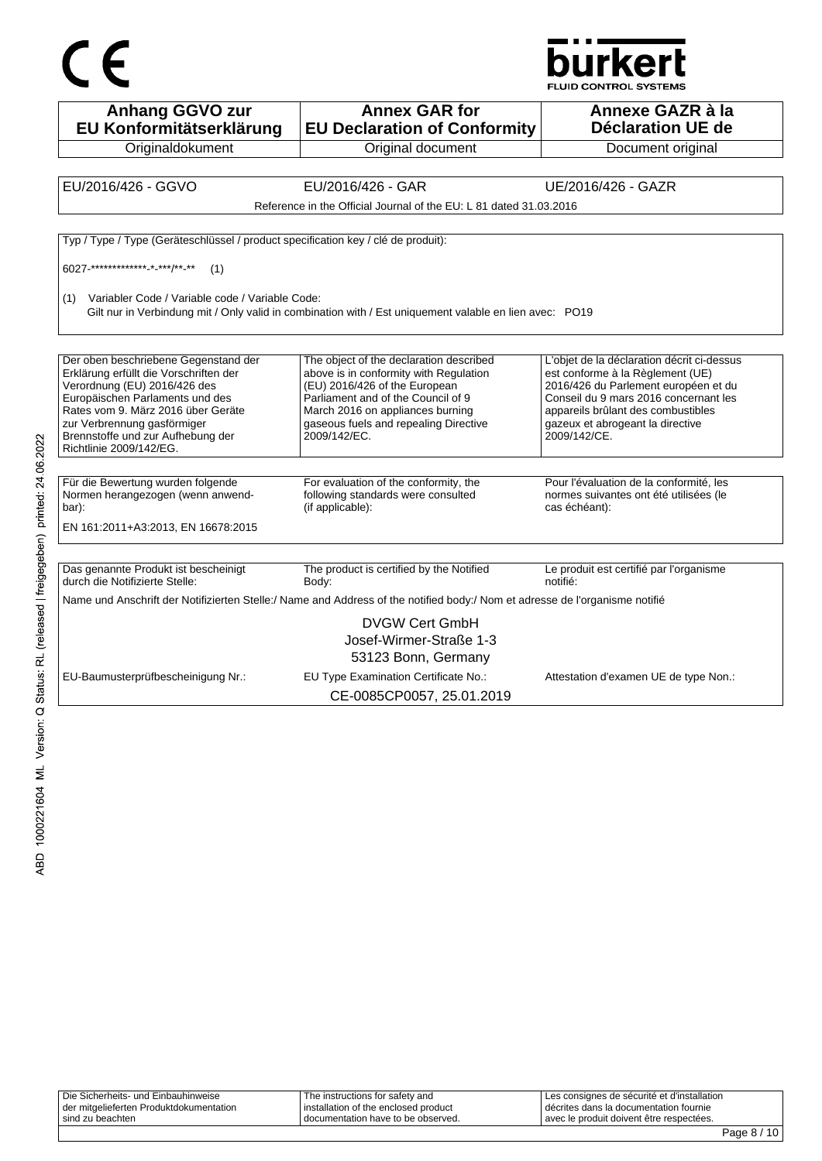

**Annex GAR for EU Declaration of Conformity** Original document **Annexe GAZR à la Déclaration UE de**  Document original EU/2016/426 - GGVO EU/2016/426 - GAR UE/2016/426 - GAZR Reference in the Official Journal of the EU: L 81 dated 31.03.2016

Typ / Type / Type (Geräteschlüssel / product specification key / clé de produit):

6027-\*\*\*\*\*\*\*\*\*\*\*\*\*-\*-\*\*\*/\*\*-\*\* (1)

(1) Variabler Code / Variable code / Variable Code:

**Anhang GGVO zur EU Konformitätserklärung Originaldokument** 

Gilt nur in Verbindung mit / Only valid in combination with / Est uniquement valable en lien avec: PO19

| Der oben beschriebene Gegenstand der<br>Erklärung erfüllt die Vorschriften der<br>Verordnung (EU) 2016/426 des<br>Europäischen Parlaments und des<br>Rates vom 9. März 2016 über Geräte<br>zur Verbrennung gasförmiger<br>Brennstoffe und zur Aufhebung der<br>Richtlinie 2009/142/EG. | The object of the declaration described<br>above is in conformity with Regulation<br>(EU) 2016/426 of the European<br>Parliament and of the Council of 9<br>March 2016 on appliances burning<br>gaseous fuels and repealing Directive<br>2009/142/EC. | L'objet de la déclaration décrit ci-dessus<br>est conforme à la Règlement (UE)<br>2016/426 du Parlement européen et du<br>Conseil du 9 mars 2016 concernant les<br>appareils brûlant des combustibles<br>gazeux et abrogeant la directive<br>2009/142/CE. |
|----------------------------------------------------------------------------------------------------------------------------------------------------------------------------------------------------------------------------------------------------------------------------------------|-------------------------------------------------------------------------------------------------------------------------------------------------------------------------------------------------------------------------------------------------------|-----------------------------------------------------------------------------------------------------------------------------------------------------------------------------------------------------------------------------------------------------------|
|                                                                                                                                                                                                                                                                                        |                                                                                                                                                                                                                                                       |                                                                                                                                                                                                                                                           |
| Für die Bewertung wurden folgende<br>Normen herangezogen (wenn anwend-<br>bar):<br>EN 161:2011+A3:2013, EN 16678:2015                                                                                                                                                                  | For evaluation of the conformity, the<br>following standards were consulted<br>(if applicable):                                                                                                                                                       | Pour l'évaluation de la conformité, les<br>normes suivantes ont été utilisées (le<br>cas échéant):                                                                                                                                                        |
| Das genannte Produkt ist bescheinigt<br>durch die Notifizierte Stelle:                                                                                                                                                                                                                 | The product is certified by the Notified<br>Body:                                                                                                                                                                                                     | Le produit est certifié par l'organisme<br>notifié:                                                                                                                                                                                                       |
|                                                                                                                                                                                                                                                                                        | Name und Anschrift der Notifizierten Stelle:/ Name and Address of the notified body:/ Nom et adresse de l'organisme notifié                                                                                                                           |                                                                                                                                                                                                                                                           |
|                                                                                                                                                                                                                                                                                        | <b>DVGW Cert GmbH</b><br>Josef-Wirmer-Straße 1-3<br>53123 Bonn, Germany                                                                                                                                                                               |                                                                                                                                                                                                                                                           |
| EU-Baumusterprüfbescheinigung Nr.:                                                                                                                                                                                                                                                     | EU Type Examination Certificate No.:                                                                                                                                                                                                                  | Attestation d'examen UE de type Non.:                                                                                                                                                                                                                     |

CE-0085CP0057, 25.01.2019

| Die Sicherheits- und Einbauhinweise     | The instructions for safety and      | Les consignes de sécurité et d'installation |
|-----------------------------------------|--------------------------------------|---------------------------------------------|
| der mitgelieferten Produktdokumentation | installation of the enclosed product | I décrites dans la documentation fournie    |
| sind zu beachten                        | I documentation have to be observed. | avec le produit doivent être respectées.    |
|                                         |                                      |                                             |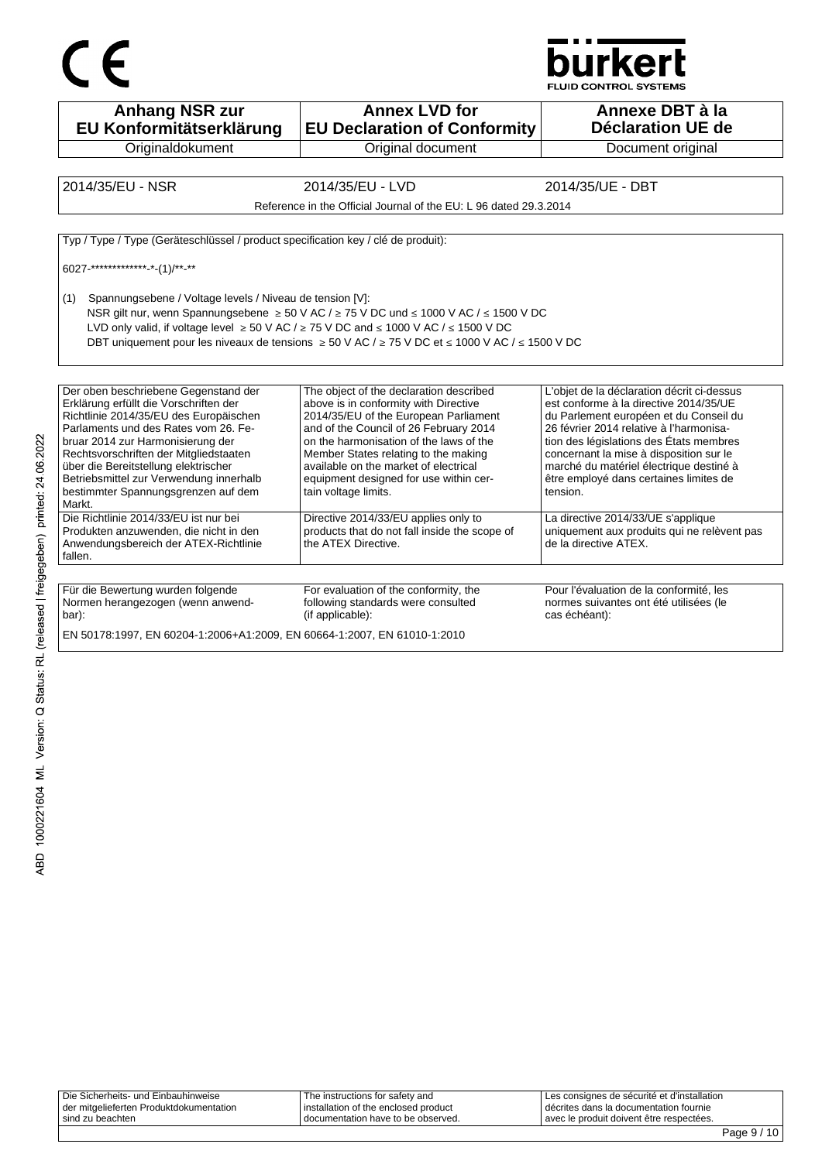



**Anhang NSR zur EU Konformitätserklärung Originaldokument Annex LVD for EU Declaration of Conformity** Original document **Annexe DBT à la Déclaration UE de**  Document original 2014/35/EU - NSR 2014/35/EU - LVD 2014/35/UE - DBT Reference in the Official Journal of the EU: L 96 dated 29.3.2014 Typ / Type / Type (Geräteschlüssel / product specification key / clé de produit): 6027-\*\*\*\*\*\*\*\*\*\*\*\*\*-\*-(1)/\*\*-\*\* (1) Spannungsebene / Voltage levels / Niveau de tension [V]: NSR gilt nur, wenn Spannungsebene ≥ 50 V AC / ≥ 75 V DC und ≤ 1000 V AC / ≤ 1500 V DC LVD only valid, if voltage level  $\geq 50$  V AC /  $\geq 75$  V DC and ≤ 1000 V AC / ≤ 1500 V DC DBT uniquement pour les niveaux de tensions ≥ 50 V AC / ≥ 75 V DC et ≤ 1000 V AC / ≤ 1500 V DC Der oben beschriebene Gegenstand der Erklärung erfüllt die Vorschriften der Richtlinie 2014/35/EU des Europäischen Parlaments und des Rates vom 26. Februar 2014 zur Harmonisierung der Rechtsvorschriften der Mitgliedstaaten über die Bereitstellung elektrischer Betriebsmittel zur Verwendung innerhalb bestimmter Spannungsgrenzen auf dem Markt. The object of the declaration described above is in conformity with Directive 2014/35/EU of the European Parliament and of the Council of 26 February 2014 on the harmonisation of the laws of the Member States relating to the making available on the market of electrical equipment designed for use within certain voltage limits. L'objet de la déclaration décrit ci-dessus est conforme à la directive 2014/35/UE du Parlement européen et du Conseil du 26 février 2014 relative à l'harmonisation des législations des États membres concernant la mise à disposition sur le marché du matériel électrique destiné à être employé dans certaines limites de tension. Die Richtlinie 2014/33/EU ist nur bei Produkten anzuwenden, die nicht in den Anwendungsbereich der ATEX-Richtlinie fallen. Directive 2014/33/EU applies only to products that do not fall inside the scope of the ATEX Directive. La directive 2014/33/UE s'applique uniquement aux produits qui ne relèvent pas de la directive ATEX. Für die Bewertung wurden folgende Normen herangezogen (wenn anwendbar): For evaluation of the conformity, the following standards were consulted (if applicable): Pour l'évaluation de la conformité, les normes suivantes ont été utilisées (le cas échéant): EN 50178:1997, EN 60204-1:2006+A1:2009, EN 60664-1:2007, EN 61010-1:2010

| avec le produit doivent être respectées.<br>sind zu beachten<br>I documentation have to be observed. | Die Sicherheits- und Einbauhinweise<br>der mitgelieferten Produktdokumentation | The instructions for safety and<br>I installation of the enclosed product | I Les consignes de sécurité et d'installation<br>I décrites dans la documentation fournie |
|------------------------------------------------------------------------------------------------------|--------------------------------------------------------------------------------|---------------------------------------------------------------------------|-------------------------------------------------------------------------------------------|
|                                                                                                      |                                                                                |                                                                           |                                                                                           |